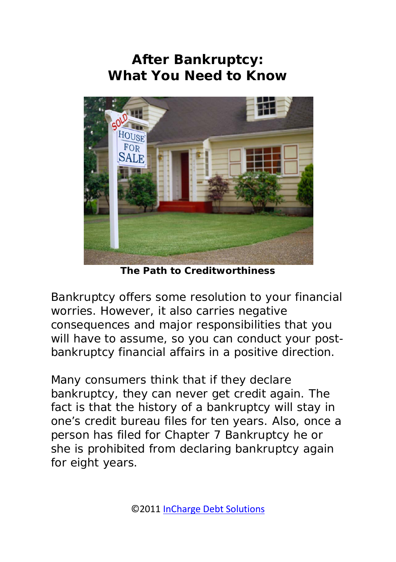# **After Bankruptcy: What You Need to Know**



*The Path to Creditworthiness*

Bankruptcy offers some resolution to your financial worries. However, it also carries negative consequences and major responsibilities that you will have to assume, so you can conduct your postbankruptcy financial affairs in a positive direction.

Many consumers think that if they declare bankruptcy, they can never get credit again. The fact is that the history of a bankruptcy will stay in one's credit bureau files for ten years. Also, once a person has filed for Chapter 7 Bankruptcy he or she is prohibited from declaring bankruptcy again for eight years.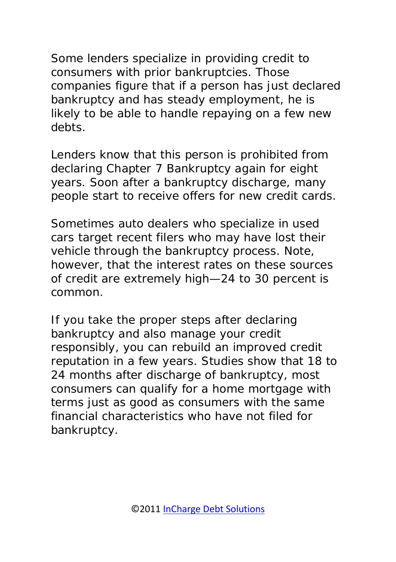Some lenders specialize in providing credit to consumers with prior bankruptcies. Those companies figure that if a person has just declared bankruptcy and has steady employment, he is likely to be able to handle repaying on a few new debts.

Lenders know that this person is prohibited from declaring Chapter 7 Bankruptcy again for eight years. Soon after a bankruptcy discharge, many people start to receive offers for new credit cards.

Sometimes auto dealers who specialize in used cars target recent filers who may have lost their vehicle through the bankruptcy process. Note, however, that the interest rates on these sources of credit are extremely high—24 to 30 percent is common.

If you take the proper steps after declaring bankruptcy and also manage your credit responsibly, you can rebuild an improved credit reputation in a few years. Studies show that 18 to 24 months after discharge of bankruptcy, most consumers can qualify for a home mortgage with terms just as good as consumers with the same financial characteristics who have not filed for bankruptcy.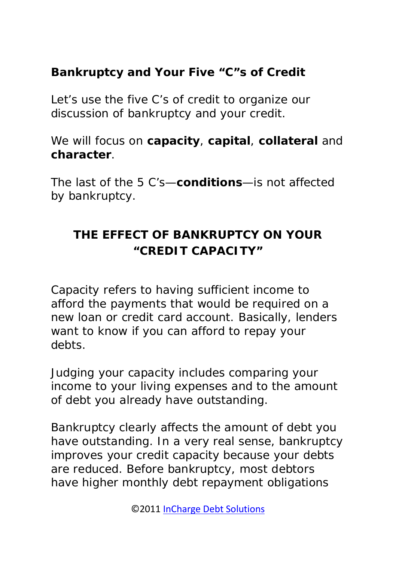### **Bankruptcy and Your Five "C"s of Credit**

Let's use the five C's of credit to organize our discussion of bankruptcy and your credit.

We will focus on **capacity**, **capital**, **collateral** and **character**.

The last of the 5 C's—**conditions**—is not affected by bankruptcy.

# **THE EFFECT OF BANKRUPTCY ON YOUR "CREDIT CAPACITY"**

Capacity refers to having sufficient income to afford the payments that would be required on a new loan or credit card account. Basically, lenders want to know if you can afford to repay your debts.

Judging your capacity includes comparing your income to your living expenses and to the amount of debt you already have outstanding.

Bankruptcy clearly affects the amount of debt you have outstanding. In a very real sense, bankruptcy improves your credit capacity because your debts are reduced. Before bankruptcy, most debtors have higher monthly debt repayment obligations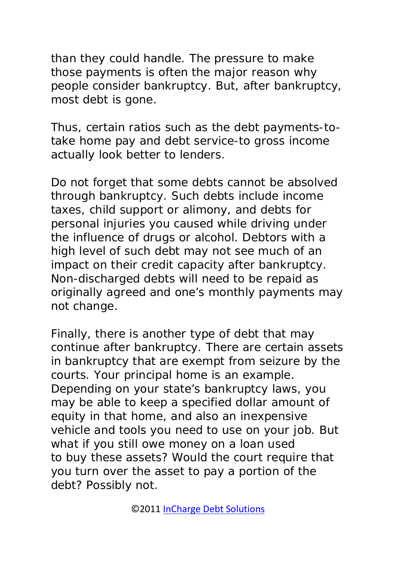than they could handle. The pressure to make those payments is often the major reason why people consider bankruptcy. But, after bankruptcy, most debt is gone.

Thus, certain ratios such as the debt payments-totake home pay and debt service-to gross income actually look better to lenders.

Do not forget that some debts cannot be absolved through bankruptcy. Such debts include income taxes, child support or alimony, and debts for personal injuries you caused while driving under the influence of drugs or alcohol. Debtors with a high level of such debt may not see much of an impact on their credit capacity after bankruptcy. Non-discharged debts will need to be repaid as originally agreed and one's monthly payments may not change.

Finally, there is another type of debt that may continue after bankruptcy. There are certain assets in bankruptcy that are exempt from seizure by the courts. Your principal home is an example. Depending on your state's bankruptcy laws, you may be able to keep a specified dollar amount of equity in that home, and also an inexpensive vehicle and tools you need to use on your job. But what if you still owe money on a loan used to buy these assets? Would the court require that you turn over the asset to pay a portion of the debt? Possibly not.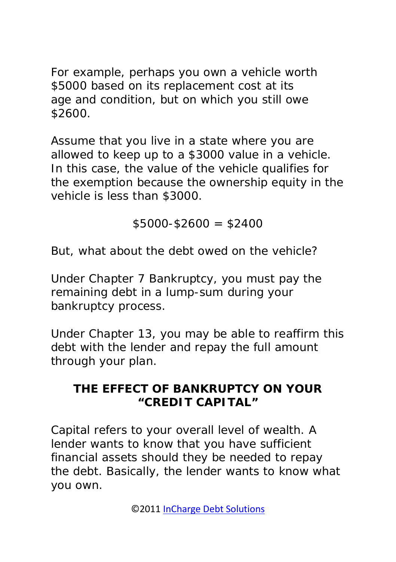For example, perhaps you own a vehicle worth \$5000 based on its replacement cost at its age and condition, but on which you still owe \$2600.

Assume that you live in a state where you are allowed to keep up to a \$3000 value in a vehicle. In this case, the value of the vehicle qualifies for the exemption because the ownership equity in the vehicle is less than \$3000.

 $$5000-$2600 = $2400$ 

But, what about the debt owed on the vehicle?

Under Chapter 7 Bankruptcy, you must pay the remaining debt in a lump-sum during your bankruptcy process.

Under Chapter 13, you may be able to reaffirm this debt with the lender and repay the full amount through your plan.

### **THE EFFECT OF BANKRUPTCY ON YOUR "CREDIT CAPITAL"**

Capital refers to your overall level of wealth. A lender wants to know that you have sufficient financial assets should they be needed to repay the debt. Basically, the lender wants to know what you own.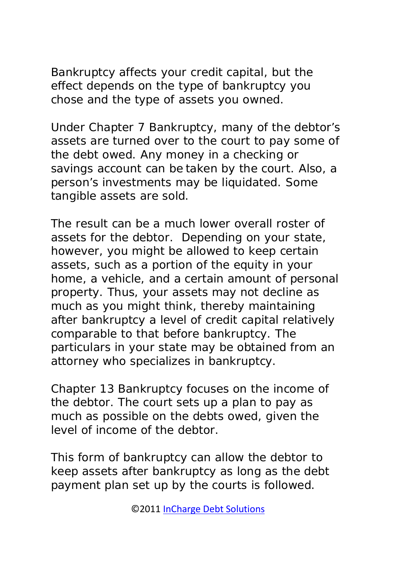Bankruptcy affects your credit capital, but the effect depends on the type of bankruptcy you chose and the type of assets you owned.

Under Chapter 7 Bankruptcy, many of the debtor's assets are turned over to the court to pay some of the debt owed. Any money in a checking or savings account can be taken by the court. Also, a person's investments may be liquidated. Some tangible assets are sold.

The result can be a much lower overall roster of assets for the debtor. Depending on your state, however, you might be allowed to keep certain assets, such as a portion of the equity in your home, a vehicle, and a certain amount of personal property. Thus, your assets may not decline as much as you might think, thereby maintaining after bankruptcy a level of credit capital relatively comparable to that before bankruptcy. The particulars in your state may be obtained from an attorney who specializes in bankruptcy.

Chapter 13 Bankruptcy focuses on the income of the debtor. The court sets up a plan to pay as much as possible on the debts owed, given the level of income of the debtor.

This form of bankruptcy can allow the debtor to keep assets after bankruptcy as long as the debt payment plan set up by the courts is followed.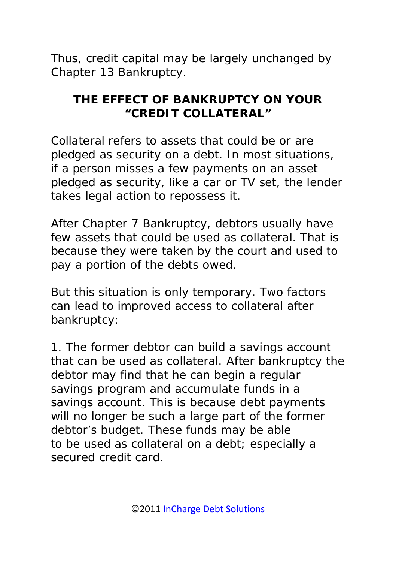Thus, credit capital may be largely unchanged by Chapter 13 Bankruptcy.

## **THE EFFECT OF BANKRUPTCY ON YOUR "CREDIT COLLATERAL"**

Collateral refers to assets that could be or are pledged as security on a debt. In most situations, if a person misses a few payments on an asset pledged as security, like a car or TV set, the lender takes legal action to repossess it.

After Chapter 7 Bankruptcy, debtors usually have few assets that could be used as collateral. That is because they were taken by the court and used to pay a portion of the debts owed.

But this situation is only temporary. Two factors can lead to improved access to collateral after bankruptcy:

1. The former debtor can build a savings account that can be used as collateral. After bankruptcy the debtor may find that he can begin a regular savings program and accumulate funds in a savings account. This is because debt payments will no longer be such a large part of the former debtor's budget. These funds may be able to be used as collateral on a debt; especially a secured credit card.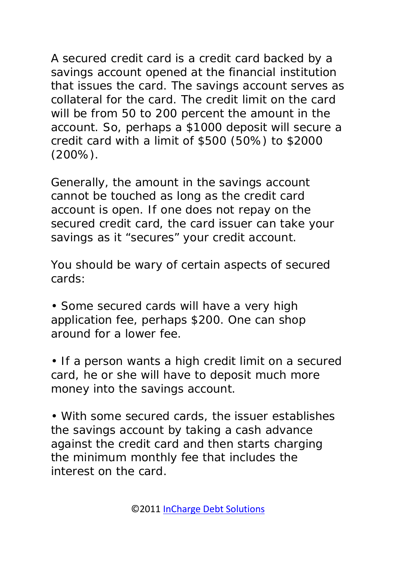A secured credit card is a credit card backed by a savings account opened at the financial institution that issues the card. The savings account serves as collateral for the card. The credit limit on the card will be from 50 to 200 percent the amount in the account. So, perhaps a \$1000 deposit will secure a credit card with a limit of \$500 (50%) to \$2000 (200%).

Generally, the amount in the savings account cannot be touched as long as the credit card account is open. If one does not repay on the secured credit card, the card issuer can take your savings as it "secures" your credit account.

You should be wary of certain aspects of secured cards:

• Some secured cards will have a very high application fee, perhaps \$200. One can shop around for a lower fee.

• If a person wants a high credit limit on a secured card, he or she will have to deposit much more money into the savings account.

• With some secured cards, the issuer establishes the savings account by taking a cash advance against the credit card and then starts charging the minimum monthly fee that includes the interest on the card.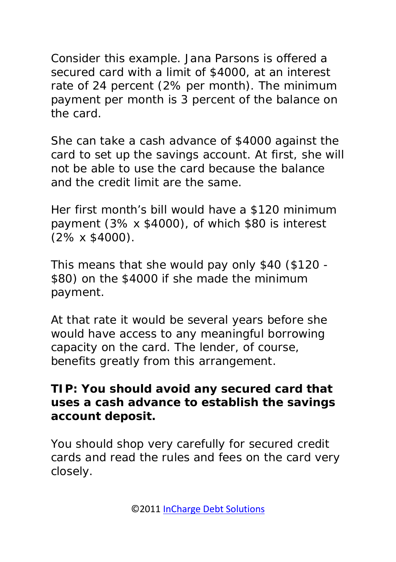Consider this example. Jana Parsons is offered a secured card with a limit of \$4000, at an interest rate of 24 percent (2% per month). The minimum payment per month is 3 percent of the balance on the card.

She can take a cash advance of \$4000 against the card to set up the savings account. At first, she will not be able to use the card because the balance and the credit limit are the same.

Her first month's bill would have a \$120 minimum payment (3% x \$4000), of which \$80 is interest (2% x \$4000).

This means that she would pay only \$40 (\$120 - \$80) on the \$4000 if she made the minimum payment.

At that rate it would be several years before she would have access to any meaningful borrowing capacity on the card. The lender, of course, benefits greatly from this arrangement.

### **TIP: You should avoid any secured card that uses a cash advance to establish the savings account deposit.**

You should shop very carefully for secured credit cards and read the rules and fees on the card very closely.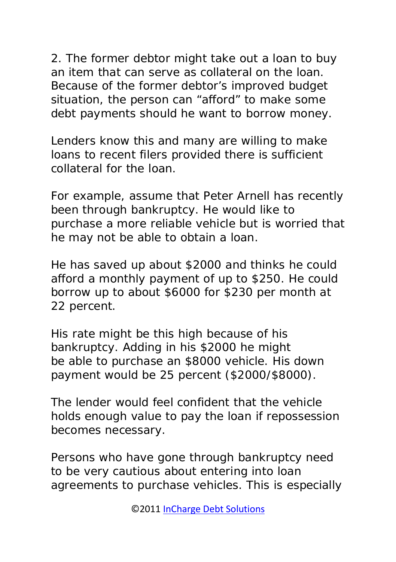2. The former debtor might take out a loan to buy an item that can serve as collateral on the loan. Because of the former debtor's improved budget situation, the person can "afford" to make some debt payments should he want to borrow money.

Lenders know this and many are willing to make loans to recent filers provided there is sufficient collateral for the loan.

For example, assume that Peter Arnell has recently been through bankruptcy. He would like to purchase a more reliable vehicle but is worried that he may not be able to obtain a loan.

He has saved up about \$2000 and thinks he could afford a monthly payment of up to \$250. He could borrow up to about \$6000 for \$230 per month at 22 percent.

His rate might be this high because of his bankruptcy. Adding in his \$2000 he might be able to purchase an \$8000 vehicle. His down payment would be 25 percent (\$2000/\$8000).

The lender would feel confident that the vehicle holds enough value to pay the loan if repossession becomes necessary.

Persons who have gone through bankruptcy need to be very cautious about entering into loan agreements to purchase vehicles. This is especially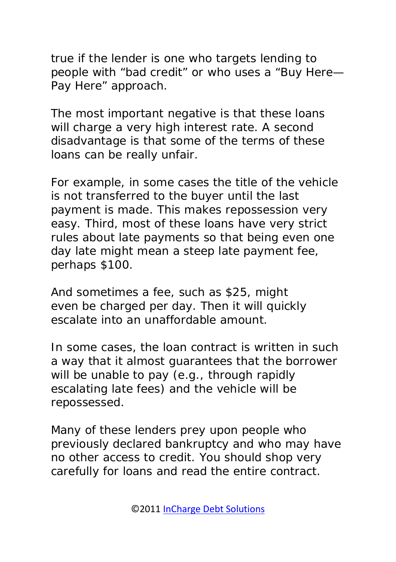true if the lender is one who targets lending to people with "bad credit" or who uses a "Buy Here— Pay Here" approach.

The most important negative is that these loans will charge a very high interest rate. A second disadvantage is that some of the terms of these loans can be really unfair.

For example, in some cases the title of the vehicle is not transferred to the buyer until the last payment is made. This makes repossession very easy. Third, most of these loans have very strict rules about late payments so that being even one day late might mean a steep late payment fee, perhaps \$100.

And sometimes a fee, such as \$25, might even be charged per day. Then it will quickly escalate into an unaffordable amount.

In some cases, the loan contract is written in such a way that it almost guarantees that the borrower will be unable to pay (e.g., through rapidly escalating late fees) and the vehicle will be repossessed.

Many of these lenders prey upon people who previously declared bankruptcy and who may have no other access to credit. You should shop very carefully for loans and read the entire contract.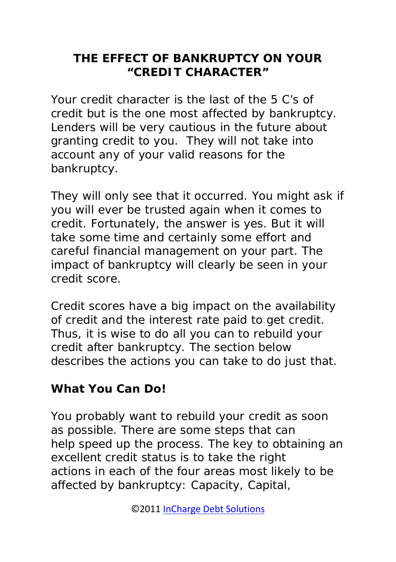### **THE EFFECT OF BANKRUPTCY ON YOUR "CREDIT CHARACTER"**

Your credit character is the last of the 5 C's of credit but is the one most affected by bankruptcy. Lenders will be very cautious in the future about granting credit to you. They will not take into account any of your valid reasons for the bankruptcy.

They will only see that it occurred. You might ask if you will ever be trusted again when it comes to credit. Fortunately, the answer is yes. But it will take some time and certainly some effort and careful financial management on your part. The impact of bankruptcy will clearly be seen in your credit score.

Credit scores have a big impact on the availability of credit and the interest rate paid to get credit. Thus, it is wise to do all you can to rebuild your credit after bankruptcy. The section below describes the actions you can take to do just that.

# **What You Can Do!**

You probably want to rebuild your credit as soon as possible. There are some steps that can help speed up the process. The key to obtaining an excellent credit status is to take the right actions in each of the four areas most likely to be affected by bankruptcy: Capacity, Capital,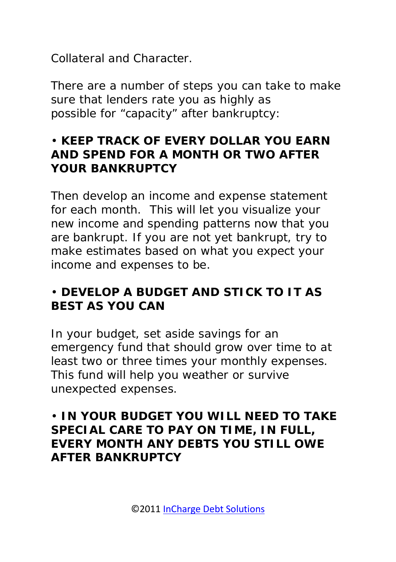Collateral and Character.

There are a number of steps you can take to make sure that lenders rate you as highly as possible for "capacity" after bankruptcy:

### • **KEEP TRACK OF EVERY DOLLAR YOU EARN AND SPEND FOR A MONTH OR TWO AFTER YOUR BANKRUPTCY**

Then develop an income and expense statement for each month. This will let you visualize your new income and spending patterns now that you are bankrupt. If you are not yet bankrupt, try to make estimates based on what you expect your income and expenses to be.

### • **DEVELOP A BUDGET AND STICK TO IT AS BEST AS YOU CAN**

In your budget, set aside savings for an emergency fund that should grow over time to at least two or three times your monthly expenses. This fund will help you weather or survive unexpected expenses.

#### • **IN YOUR BUDGET YOU WILL NEED TO TAKE SPECIAL CARE TO PAY ON TIME, IN FULL, EVERY MONTH ANY DEBTS YOU STILL OWE AFTER BANKRUPTCY**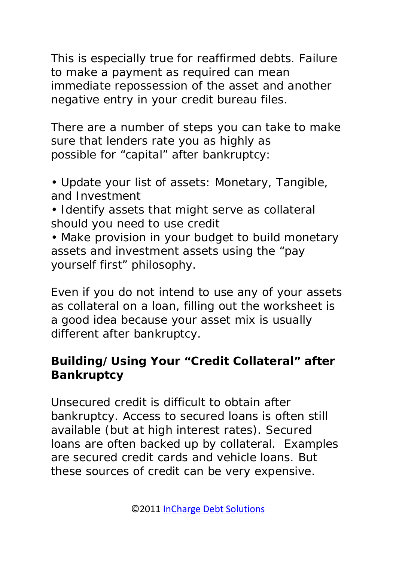This is especially true for reaffirmed debts. Failure to make a payment as required can mean immediate repossession of the asset and another negative entry in your credit bureau files.

There are a number of steps you can take to make sure that lenders rate you as highly as possible for "capital" after bankruptcy:

• Update your list of assets: Monetary, Tangible, and Investment

- Identify assets that might serve as collateral should you need to use credit
- Make provision in your budget to build monetary assets and investment assets using the "pay yourself first" philosophy.

Even if you do not intend to use any of your assets as collateral on a loan, filling out the worksheet is a good idea because your asset mix is usually different after bankruptcy.

### **Building/Using Your "Credit Collateral" after Bankruptcy**

Unsecured credit is difficult to obtain after bankruptcy. Access to secured loans is often still available (but at high interest rates). Secured loans are often backed up by collateral. Examples are secured credit cards and vehicle loans. But these sources of credit can be very expensive.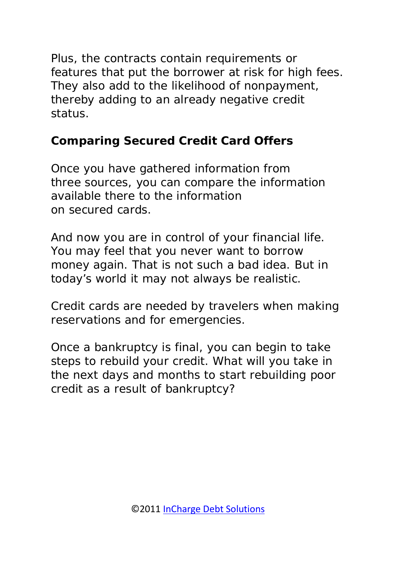Plus, the contracts contain requirements or features that put the borrower at risk for high fees. They also add to the likelihood of nonpayment, thereby adding to an already negative credit status.

## *Comparing Secured Credit Card Offers*

Once you have gathered information from three sources, you can compare the information available there to the information on secured cards.

And now you are in control of your financial life. You may feel that you never want to borrow money again. That is not such a bad idea. But in today's world it may not always be realistic.

Credit cards are needed by travelers when making reservations and for emergencies.

Once a bankruptcy is final, you can begin to take steps to rebuild your credit. What will you take in the next days and months to start rebuilding poor credit as a result of bankruptcy?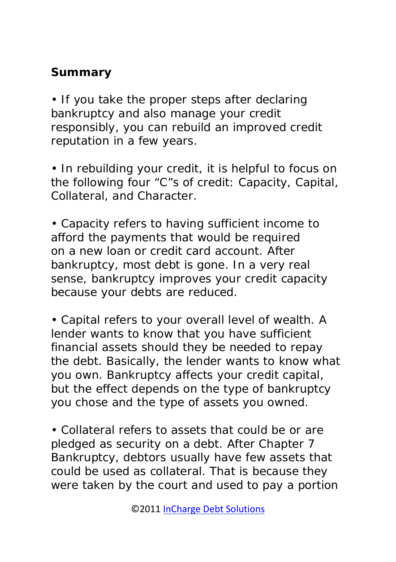## **Summary**

• If you take the proper steps after declaring bankruptcy and also manage your credit responsibly, you can rebuild an improved credit reputation in a few years.

• In rebuilding your credit, it is helpful to focus on the following four "C"s of credit: Capacity, Capital, Collateral, and Character.

• Capacity refers to having sufficient income to afford the payments that would be required on a new loan or credit card account. After bankruptcy, most debt is gone. In a very real sense, bankruptcy improves your credit capacity because your debts are reduced.

• Capital refers to your overall level of wealth. A lender wants to know that you have sufficient financial assets should they be needed to repay the debt. Basically, the lender wants to know what you own. Bankruptcy affects your credit capital, but the effect depends on the type of bankruptcy you chose and the type of assets you owned.

• Collateral refers to assets that could be or are pledged as security on a debt. After Chapter 7 Bankruptcy, debtors usually have few assets that could be used as collateral. That is because they were taken by the court and used to pay a portion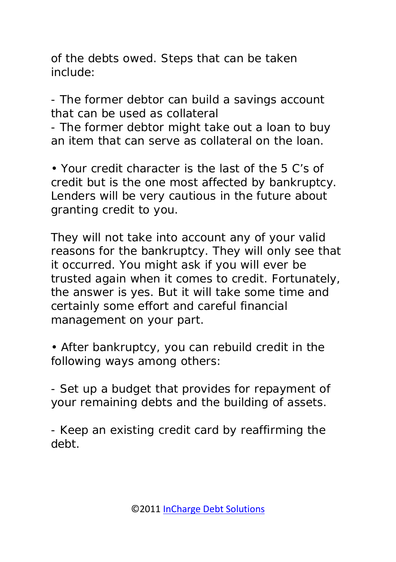of the debts owed. Steps that can be taken include:

- The former debtor can build a savings account that can be used as collateral

- The former debtor might take out a loan to buy an item that can serve as collateral on the loan.

• Your credit character is the last of the 5 C's of credit but is the one most affected by bankruptcy. Lenders will be very cautious in the future about granting credit to you.

They will not take into account any of your valid reasons for the bankruptcy. They will only see that it occurred. You might ask if you will ever be trusted again when it comes to credit. Fortunately, the answer is yes. But it will take some time and certainly some effort and careful financial management on your part.

• After bankruptcy, you can rebuild credit in the following ways among others:

- Set up a budget that provides for repayment of your remaining debts and the building of assets.

- Keep an existing credit card by reaffirming the debt.